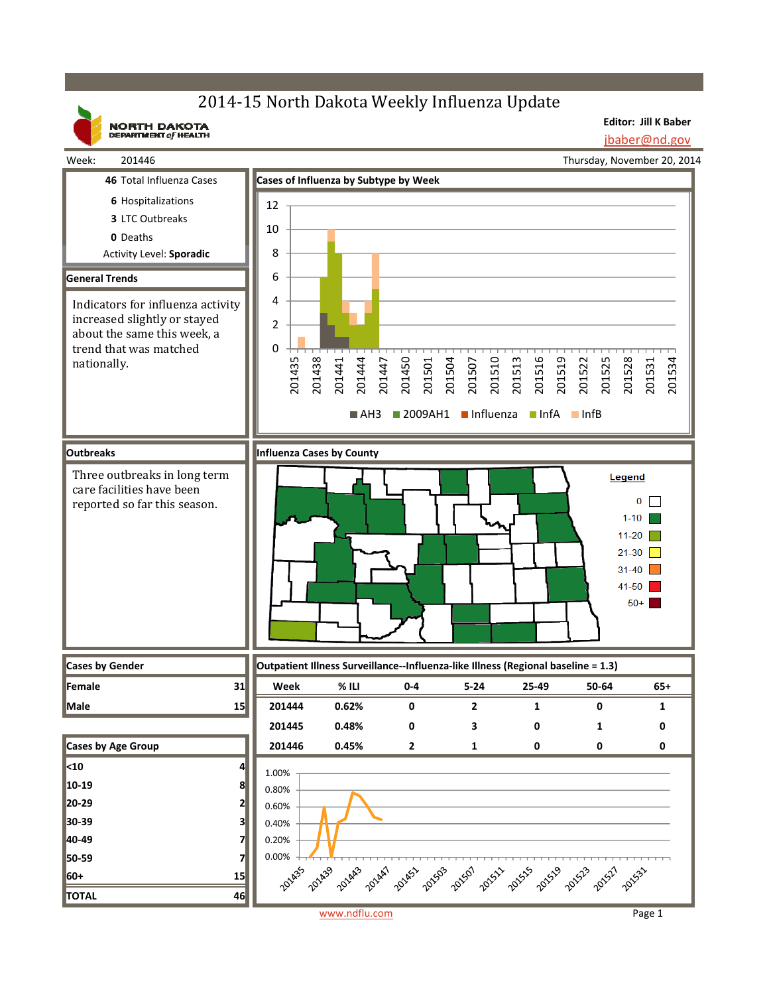# 2014-15 North Dakota Weekly Influenza Update

**NORTH DAKOTA**<br>DEPARTMENT of HEALTH

**Editor: Jill K Baber** jbaber@nd.gov